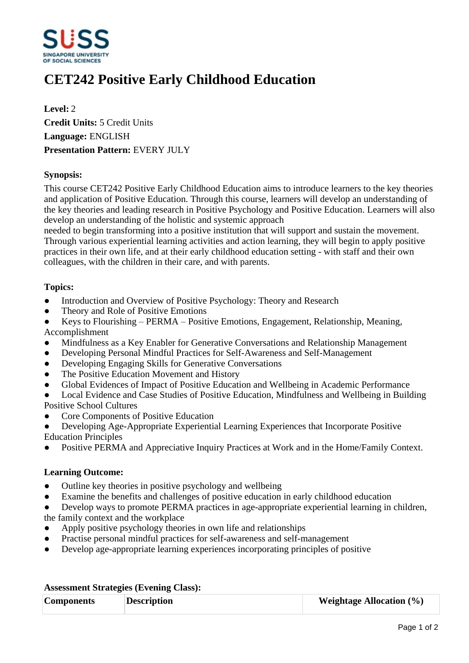

# **CET242 Positive Early Childhood Education**

**Level:** 2 **Credit Units:** 5 Credit Units **Language:** ENGLISH **Presentation Pattern:** EVERY JULY

## **Synopsis:**

This course CET242 Positive Early Childhood Education aims to introduce learners to the key theories and application of Positive Education. Through this course, learners will develop an understanding of the key theories and leading research in Positive Psychology and Positive Education. Learners will also develop an understanding of the holistic and systemic approach

needed to begin transforming into a positive institution that will support and sustain the movement. Through various experiential learning activities and action learning, they will begin to apply positive practices in their own life, and at their early childhood education setting - with staff and their own colleagues, with the children in their care, and with parents.

## **Topics:**

- Introduction and Overview of Positive Psychology: Theory and Research
- ƔTheory and Role of Positive Emotions
- Keys to Flourishing PERMA Positive Emotions, Engagement, Relationship, Meaning, Accomplishment
- Mindfulness as a Key Enabler for Generative Conversations and Relationship Management
- Developing Personal Mindful Practices for Self-Awareness and Self-Management
- Developing Engaging Skills for Generative Conversations
- The Positive Education Movement and History
- ƔGlobal Evidences of Impact of Positive Education and Wellbeing in Academic Performance
- ƔLocal Evidence and Case Studies of Positive Education, Mindfulness and Wellbeing in Building Positive School Cultures
- ƔCore Components of Positive Education
- Developing Age-Appropriate Experiential Learning Experiences that Incorporate Positive Education Principles
- Positive PERMA and Appreciative Inquiry Practices at Work and in the Home/Family Context.

#### **Learning Outcome:**

- Outline key theories in positive psychology and wellbeing
- Examine the benefits and challenges of positive education in early childhood education
- Develop ways to promote PERMA practices in age-appropriate experiential learning in children, the family context and the workplace
- Apply positive psychology theories in own life and relationships
- Practise personal mindful practices for self-awareness and self-management
- Develop age-appropriate learning experiences incorporating principles of positive

| <b>Components</b> | <b>Description</b> | <b>Weightage Allocation (%)</b> |
|-------------------|--------------------|---------------------------------|

#### **Assessment Strategies (Evening Class):**